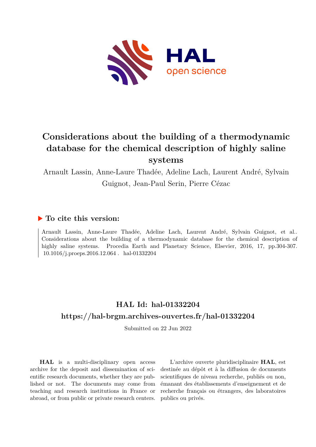

# **Considerations about the building of a thermodynamic database for the chemical description of highly saline systems**

Arnault Lassin, Anne-Laure Thadée, Adeline Lach, Laurent André, Sylvain Guignot, Jean-Paul Serin, Pierre Cézac

### **To cite this version:**

Arnault Lassin, Anne-Laure Thadée, Adeline Lach, Laurent André, Sylvain Guignot, et al.. Considerations about the building of a thermodynamic database for the chemical description of highly saline systems. Procedia Earth and Planetary Science, Elsevier, 2016, 17, pp.304-307.  $10.1016$ /i.proeps.2016.12.064. hal-01332204

## **HAL Id: hal-01332204 <https://hal-brgm.archives-ouvertes.fr/hal-01332204>**

Submitted on 22 Jun 2022

**HAL** is a multi-disciplinary open access archive for the deposit and dissemination of scientific research documents, whether they are published or not. The documents may come from teaching and research institutions in France or abroad, or from public or private research centers.

L'archive ouverte pluridisciplinaire **HAL**, est destinée au dépôt et à la diffusion de documents scientifiques de niveau recherche, publiés ou non, émanant des établissements d'enseignement et de recherche français ou étrangers, des laboratoires publics ou privés.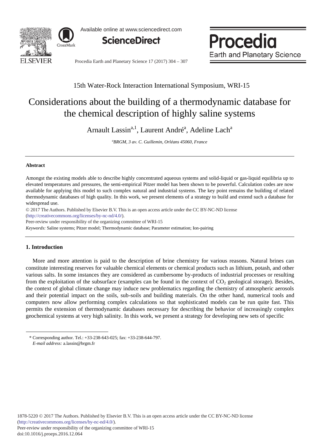

Available online at www.sciencedirect.com



Procedia **Earth and Planetary Science** 

Procedia Earth and Planetary Science 17 (2017) 304 - 307

### 15th Water-Rock Interaction International Symposium, WRI-15

## Considerations about the building of a thermodynamic database for the chemical description of highly saline systems

Arnault Lassin<sup>a, 1</sup>, Laurent André<sup>a</sup>, Adeline Lach<sup>a</sup>

*a BRGM, 3 av. C. Guillemin, Orléans 45060, France* 

#### **Abstract**

Amongst the existing models able to describe highly concentrated aqueous systems and solid-liquid or gas-liquid equilibria up to elevated temperatures and pressures, the semi-empirical Pitzer model has been shown to be powerful. Calculation codes are now available for applying this model to such complex natural and industrial systems. The key point remains the building of related thermodynamic databases of high quality. In this work, we present elements of a strategy to build and extend such a database for widespread use.

© 2017 The Authors. Published by Elsevier B.V. © 2017 The Authors. Published by Elsevier B.V. This is an open access article under the CC BY-NC-ND license (http://creativecommons.org/licenses/by-nc-nd/4.0/).

Peer-review under responsibility of the organizing committee of WRI-15

*Keywords:* Saline systems; Pitzer model; Thermodynamic database; Parameter estimation; Ion-pairing

#### **1. Introduction**

 $\overline{a}$ 

More and more attention is paid to the description of brine chemistry for various reasons. Natural brines can constitute interesting reserves for valuable chemical elements or chemical products such as lithium, potash, and other various salts. In some instances they are considered as cumbersome by-products of industrial processes or resulting from the exploitation of the subsurface (examples can be found in the context of  $CO<sub>2</sub>$  geological storage). Besides, the context of global climate change may induce new problematics regarding the chemistry of atmospheric aerosols and their potential impact on the soils, sub-soils and building materials. On the other hand, numerical tools and computers now allow performing complex calculations so that sophisticated models can be run quite fast. This permits the extension of thermodynamic databases necessary for describing the behavior of increasingly complex geochemical systems at very high salinity. In this work, we present a strategy for developing new sets of specific

<sup>\*</sup> Corresponding author. Tel.: +33-238-643-025; fax: +33-238-644-797. *E-mail address:* a.lassin@brgm.fr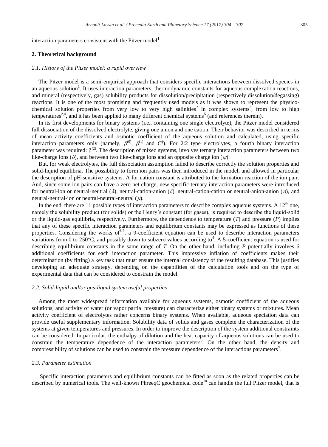interaction parameters consistent with the Pitzer model<sup>1</sup>.

#### **2. Theoretical background**

#### *2.1. History of the Pitzer model: a rapid overview*

The Pitzer model is a semi-empirical approach that considers specific interactions between dissolved species in an aqueous solution<sup>1</sup>. It uses interaction parameters, thermodynamic constants for aqueous complexation reactions, and mineral (respectively, gas) solubility products for dissolution/precipitation (respectively dissolution/degassing) reactions. It is one of the most promising and frequently used models as it was shown to represent the physicochemical solution properties from very low to very high salinities<sup>2</sup> in complex systems<sup>3</sup>, from low to high temperatures<sup>2,4</sup>, and it has been applied to many different chemical systems<sup>5</sup> (and references therein).

In its first developments for binary systems (i.e., containing one single electrolyte), the Pitzer model considered full dissociation of the dissolved electrolyte, giving one anion and one cation. Their behavior was described in terms of mean activity coefficients and osmotic coefficient of the aqueous solution and calculated, using specific interaction parameters only (namely,  $\beta^{(0)}$ ,  $\beta^{(1)}$  and  $C^{\phi}$ ). For 2:2 type electrolytes, a fourth binary interaction parameter was required:  $\beta^{(2)}$ . The description of mixed systems, involves ternary interaction parameters between two like-charge ions ( $\theta$ ), and between two like-charge ions and an opposite charge ion ( $\psi$ ).

But, for weak electrolytes, the full dissociation assumption failed to describe correctly the solution properties and solid-liquid equilibria. The possibility to form ion pairs was then introduced in the model, and allowed in particular the description of pH-sensitive systems. A formation constant is attributed to the formation reaction of the ion pair. And, since some ion pairs can have a zero net charge, new specific ternary interaction parameters were introduced for neutral-ion or neutral-neutral ( $\lambda$ ), neutral-cation-anion ( $\zeta$ ), neutral-cation-cation or neutral-anion-anion ( $\eta$ ), and neutral-neutral-ion or neutral-neutral-neutral  $(\mu)$ .

In the end, there are 11 possible types of interaction parameters to describe complex aqueous systems. A  $12<sup>th</sup>$  one, namely the solubility product (for solids) or the Henry's constant (for gases), is required to describe the liquid-solid or the liquid-gas equilibria, respectively. Furthermore, the dependence to temperature (*T*) and pressure (*P*) implies that any of these specific interaction parameters and equilibrium constants may be expressed as functions of these properties. Considering the works of  $6^{6,7}$ , a 9-coefficient equation can be used to describe interaction parameters variations from 0 to 250 $^{\circ}$ C, and possibly down to subzero values according to<sup>4</sup>. A 5-coefficient equation is used for describing equilibrium constants in the same range of *T*. On the other hand, including *P* potentially involves 6 additional coefficients for each interaction parameter. This impressive inflation of coefficients makes their determination (by fitting) a key task that must ensure the internal consistency of the resulting database. This justifies developing an adequate strategy, depending on the capabilities of the calculation tools and on the type of experimental data that can be considered to constrain the model.

#### *2.2. Solid-liquid and/or gas-liquid system useful properties*

Among the most widespread information available for aqueous systems, osmotic coefficient of the aqueous solutions, and activity of water (or vapor partial pressure) can characterize either binary systems or mixtures. Mean activity coefficient of electrolytes rather concerns binary systems. When available, aqueous speciation data can provide useful supplementary information. Solubility data of solids and gases complete the characterization of the systems at given temperatures and pressures. In order to improve the description of the system additional constraints can be considered. In particular, the enthalpy of dilution and the heat capacity of aqueous solutions can be used to constrain the temperature dependence of the interaction parameters<sup>8</sup>. On the other hand, the density and compressibility of solutions can be used to constrain the pressure dependence of the interactions parameters<sup>9</sup>.

#### *2.3. Parameter estimation*

Specific interaction parameters and equilibrium constants can be fitted as soon as the related properties can be described by numerical tools. The well-known PhreeqC geochemical code<sup>10</sup> can handle the full Pitzer model, that is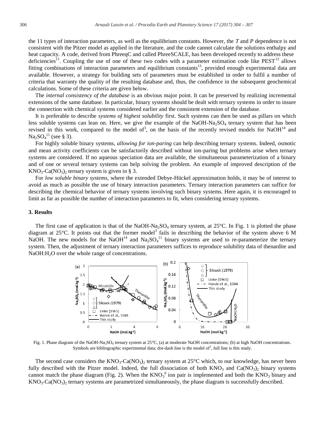the 11 types of interaction parameters, as well as the equilibrium constants. However, the *T* and *P* dependence is not consistent with the Pitzer model as applied in the literature, and the code cannot calculate the solutions enthalpy and heat capacity. A code, derived from PhreeqC and called PhreeSCALE, has been developed recently to address these deficiencies<sup>11</sup>. Coupling the use of one of these two codes with a parameter estimation code like  $PEST<sup>12</sup>$  allows fitting combinations of interaction parameters and equilibrium constants<sup>13</sup>, provided enough experimental data are available. However, a strategy for building sets of parameters must be established in order to fulfil a number of criteria that warranty the quality of the resulting database and, thus, the confidence in the subsequent geochemical calculations. Some of these criteria are given below.

The *internal consistency of the database* is an obvious major point. It can be preserved by realizing incremental extensions of the same database. In particular, binary systems should be dealt with ternary systems in order to insure the connection with chemical systems considered earlier and the consistent extension of the database.

It is preferable to describe *systems of highest solubility* first. Such systems can then be used as pillars on which less soluble systems can lean on. Here, we give the example of the NaOH-Na<sub>2</sub>SO<sub>4</sub> ternary system that has been revised in this work, compared to the model of<sup>3</sup>, on the basis of the recently revised models for NaOH<sup>14</sup> and  $\text{Na}_2\text{SO}_4{}^{11}$  (see § 3).

For highly soluble binary systems, *allowing for ion-paring* can help describing ternary systems. Indeed, osmotic and mean activity coefficients can be satisfactorily described without ion-paring but problems arise when ternary systems are considered. If no aqueous speciation data are available, the simultaneous parameterization of a binary and of one or several ternary systems can help solving the problem. An example of improved description of the  $KNO<sub>3</sub>-Ca(NO<sub>3</sub>)$ <sub>2</sub> ternary system is given in § 3.

For *low soluble binary systems*, where the extended Debye-Hückel approximation holds, it may be of interest to avoid as much as possible the use of binary interaction parameters. Ternary interaction parameters can suffice for describing the chemical behavior of ternary systems involving such binary systems. Here again, it is encouraged to limit as far as possible the number of interaction parameters to fit, when considering ternary systems.

#### **3. Results**

The first case of application is that of the NaOH-Na<sub>2</sub>SO<sub>4</sub> ternary system, at  $25^{\circ}$ C. In Fig. 1 is plotted the phase diagram at 25 $^{\circ}$ C. It points out that the former model<sup>3</sup> fails in describing the behavior of the system above 6 M NaOH. The new models for the NaOH<sup>14</sup> and Na<sub>2</sub>SO<sub>4</sub><sup>11</sup> binary systems are used to re-parameterize the ternary system. Then, the adjustment of ternary interaction parameters suffices to reproduce solubility data of thenardite and NaOH:H<sub>2</sub>O over the whole range of concentrations.



Fig. 1. Phase diagram of the NaOH-Na<sub>2</sub>SO<sub>4</sub> ternary system at 25°C, (a) at moderate NaOH concentrations; (b) at high NaOH concentrations. Symbols are bibliographic experimental data; dot-dash line is the model of<sup>3</sup>, full line is this study.

The second case considers the  $KNO_3$ -Ca( $NO_3$ )<sub>2</sub> ternary system at 25<sup>o</sup>C which, to our knowledge, has never been fully described with the Pitzer model. Indeed, the full dissociation of both  $KNO_3$  and  $Ca(NO_3)_2$  binary systems cannot match the phase diagram (Fig. 2). When the  $KNO<sub>3</sub>$ <sup>0</sup> ion pair is implemented and both the  $KNO<sub>3</sub>$  binary and  $KNO<sub>3</sub>-Ca(NO<sub>3</sub>)<sub>2</sub>$  ternary systems are parametrized simultaneously, the phase diagram is successfully described.